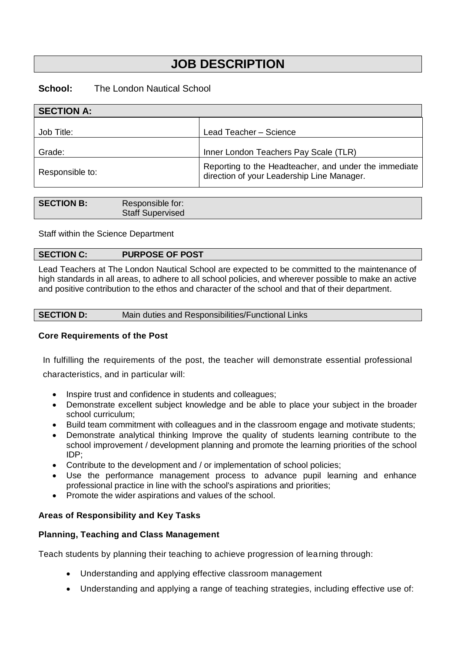# **JOB DESCRIPTION**

# **School:** The London Nautical School

| <b>SECTION A:</b> |                                                                                                     |
|-------------------|-----------------------------------------------------------------------------------------------------|
| Job Title:        | Lead Teacher - Science                                                                              |
| Grade:            | Inner London Teachers Pay Scale (TLR)                                                               |
| Responsible to:   | Reporting to the Headteacher, and under the immediate<br>direction of your Leadership Line Manager. |

| SECTION B: | Responsible for:<br><b>Staff Supervised</b> |
|------------|---------------------------------------------|
|            |                                             |

Staff within the Science Department

# **SECTION C: PURPOSE OF POST**

Lead Teachers at The London Nautical School are expected to be committed to the maintenance of high standards in all areas, to adhere to all school policies, and wherever possible to make an active and positive contribution to the ethos and character of the school and that of their department.

# **Core Requirements of the Post**

In fulfilling the requirements of the post, the teacher will demonstrate essential professional characteristics, and in particular will:

- Inspire trust and confidence in students and colleagues;
- Demonstrate excellent subject knowledge and be able to place your subject in the broader school curriculum;
- Build team commitment with colleagues and in the classroom engage and motivate students;
- Demonstrate analytical thinking Improve the quality of students learning contribute to the school improvement / development planning and promote the learning priorities of the school IDP;
- Contribute to the development and / or implementation of school policies;
- Use the performance management process to advance pupil learning and enhance professional practice in line with the school's aspirations and priorities;
- Promote the wider aspirations and values of the school.

# **Areas of Responsibility and Key Tasks**

#### **Planning, Teaching and Class Management**

Teach students by planning their teaching to achieve progression of learning through:

- Understanding and applying effective classroom management
- Understanding and applying a range of teaching strategies, including effective use of: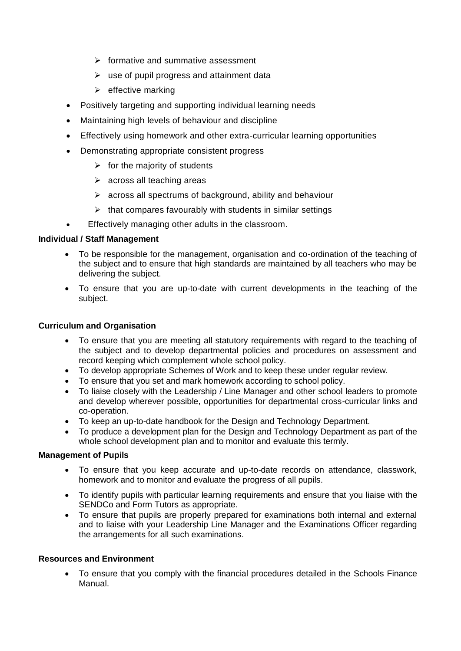- ➢ formative and summative assessment
- $\triangleright$  use of pupil progress and attainment data
- $\triangleright$  effective marking
- Positively targeting and supporting individual learning needs
- Maintaining high levels of behaviour and discipline
- Effectively using homework and other extra-curricular learning opportunities
- Demonstrating appropriate consistent progress
	- $\triangleright$  for the majority of students
	- $\triangleright$  across all teaching areas
	- $\triangleright$  across all spectrums of background, ability and behaviour
	- $\triangleright$  that compares favourably with students in similar settings
- Effectively managing other adults in the classroom.

# **Individual / Staff Management**

- To be responsible for the management, organisation and co-ordination of the teaching of the subject and to ensure that high standards are maintained by all teachers who may be delivering the subject.
- To ensure that you are up-to-date with current developments in the teaching of the subject.

# **Curriculum and Organisation**

- To ensure that you are meeting all statutory requirements with regard to the teaching of the subject and to develop departmental policies and procedures on assessment and record keeping which complement whole school policy.
- To develop appropriate Schemes of Work and to keep these under regular review.
- To ensure that you set and mark homework according to school policy.
- To liaise closely with the Leadership / Line Manager and other school leaders to promote and develop wherever possible, opportunities for departmental cross-curricular links and co-operation.
- To keep an up-to-date handbook for the Design and Technology Department.
- To produce a development plan for the Design and Technology Department as part of the whole school development plan and to monitor and evaluate this termly.

# **Management of Pupils**

- To ensure that you keep accurate and up-to-date records on attendance, classwork, homework and to monitor and evaluate the progress of all pupils.
- To identify pupils with particular learning requirements and ensure that you liaise with the SENDCo and Form Tutors as appropriate.
- To ensure that pupils are properly prepared for examinations both internal and external and to liaise with your Leadership Line Manager and the Examinations Officer regarding the arrangements for all such examinations.

# **Resources and Environment**

• To ensure that you comply with the financial procedures detailed in the Schools Finance Manual.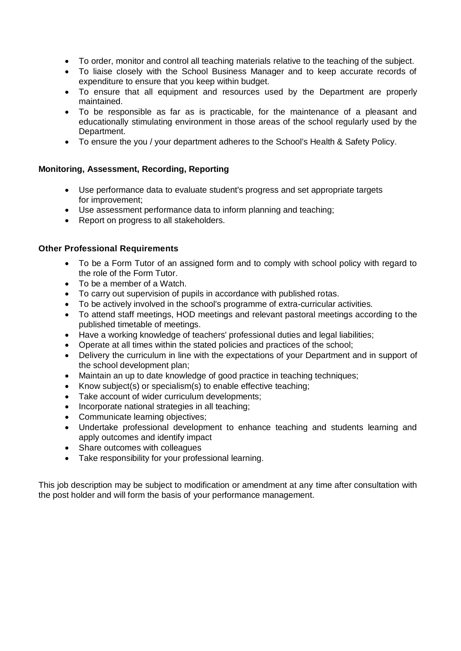- To order, monitor and control all teaching materials relative to the teaching of the subject.
- To liaise closely with the School Business Manager and to keep accurate records of expenditure to ensure that you keep within budget.
- To ensure that all equipment and resources used by the Department are properly maintained.
- To be responsible as far as is practicable, for the maintenance of a pleasant and educationally stimulating environment in those areas of the school regularly used by the Department.
- To ensure the you / your department adheres to the School's Health & Safety Policy.

# **Monitoring, Assessment, Recording, Reporting**

- Use performance data to evaluate student's progress and set appropriate targets for improvement;
- Use assessment performance data to inform planning and teaching;
- Report on progress to all stakeholders.

# **Other Professional Requirements**

- To be a Form Tutor of an assigned form and to comply with school policy with regard to the role of the Form Tutor.
- To be a member of a Watch.
- To carry out supervision of pupils in accordance with published rotas.
- To be actively involved in the school's programme of extra-curricular activities.
- To attend staff meetings, HOD meetings and relevant pastoral meetings according to the published timetable of meetings.
- Have a working knowledge of teachers' professional duties and legal liabilities;
- Operate at all times within the stated policies and practices of the school;
- Delivery the curriculum in line with the expectations of your Department and in support of the school development plan;
- Maintain an up to date knowledge of good practice in teaching techniques;
- Know subject(s) or specialism(s) to enable effective teaching;
- Take account of wider curriculum developments;
- Incorporate national strategies in all teaching;
- Communicate learning objectives;
- Undertake professional development to enhance teaching and students learning and apply outcomes and identify impact
- Share outcomes with colleagues
- Take responsibility for your professional learning.

This job description may be subject to modification or amendment at any time after consultation with the post holder and will form the basis of your performance management.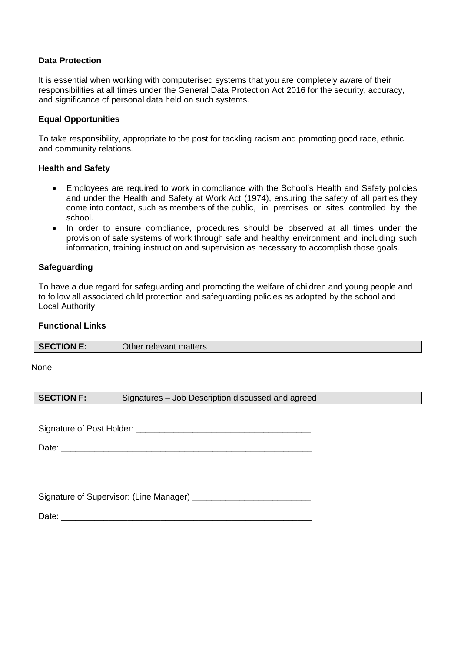# **Data Protection**

It is essential when working with computerised systems that you are completely aware of their responsibilities at all times under the General Data Protection Act 2016 for the security, accuracy, and significance of personal data held on such systems.

## **Equal Opportunities**

To take responsibility, appropriate to the post for tackling racism and promoting good race, ethnic and community relations.

## **Health and Safety**

- Employees are required to work in compliance with the School's Health and Safety policies and under the Health and Safety at Work Act (1974), ensuring the safety of all parties they come into contact, such as members of the public, in premises or sites controlled by the school.
- In order to ensure compliance, procedures should be observed at all times under the provision of safe systems of work through safe and healthy environment and including such information, training instruction and supervision as necessary to accomplish those goals.

## **Safeguarding**

To have a due regard for safeguarding and promoting the welfare of children and young people and to follow all associated child protection and safeguarding policies as adopted by the school and Local Authority

# **Functional Links**

| SECTION E: | Other relevant matters |
|------------|------------------------|
|            |                        |

#### None

**SECTION F:** Signatures – Job Description discussed and agreed

Signature of Post Holder: **Example 2018** 

Date: \_\_\_\_\_\_\_\_\_\_\_\_\_\_\_\_\_\_\_\_\_\_\_\_\_\_\_\_\_\_\_\_\_\_\_\_\_\_\_\_\_\_\_\_\_\_\_\_\_\_\_\_\_

Signature of Supervisor: (Line Manager)

Date: \_\_\_\_\_\_\_\_\_\_\_\_\_\_\_\_\_\_\_\_\_\_\_\_\_\_\_\_\_\_\_\_\_\_\_\_\_\_\_\_\_\_\_\_\_\_\_\_\_\_\_\_\_